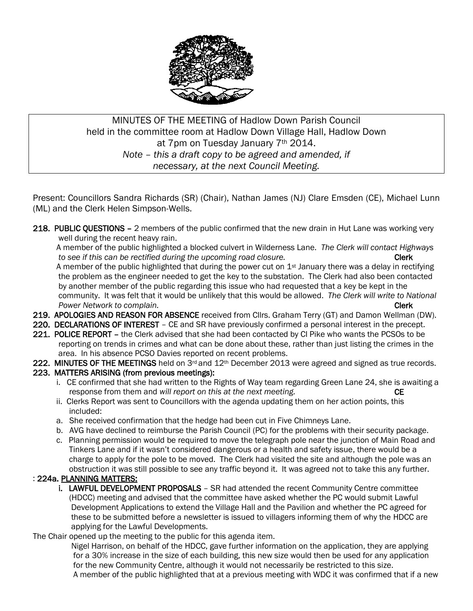

# MINUTES OF THE MEETING of Hadlow Down Parish Council held in the committee room at Hadlow Down Village Hall, Hadlow Down at 7pm on Tuesday January 7<sup>th</sup> 2014. *Note – this a draft copy to be agreed and amended, if necessary, at the next Council Meeting.*

Present: Councillors Sandra Richards (SR) (Chair), Nathan James (NJ) Clare Emsden (CE), Michael Lunn (ML) and the Clerk Helen Simpson-Wells.

218. PUBLIC QUESTIONS - 2 members of the public confirmed that the new drain in Hut Lane was working very well during the recent heavy rain.

 A member of the public highlighted a blocked culvert in Wilderness Lane. *The Clerk will contact Highways to see if this can be rectified during the upcoming road closure.* The same of this can be rectriced that the upcoming road closure.

A member of the public highlighted that during the power cut on 1<sup>st</sup> January there was a delay in rectifying the problem as the engineer needed to get the key to the substation. The Clerk had also been contacted by another member of the public regarding this issue who had requested that a key be kept in the community. It was felt that it would be unlikely that this would be allowed. *The Clerk will write to National Power Network to complain.* Clerk 2008 **Clerk** 

- 219. APOLOGIES AND REASON FOR ABSENCE received from Cllrs. Graham Terry (GT) and Damon Wellman (DW).
- 220. DECLARATIONS OF INTEREST CE and SR have previously confirmed a personal interest in the precept.
- 221. POLICE REPORT the Clerk advised that she had been contacted by CI Pike who wants the PCSOs to be reporting on trends in crimes and what can be done about these, rather than just listing the crimes in the area. In his absence PCSO Davies reported on recent problems.
- 222. MINUTES OF THE MEETINGS held on 3<sup>rd</sup> and 12<sup>th</sup> December 2013 were agreed and signed as true records.

### 223. MATTERS ARISING (from previous meetings):

- i. CE confirmed that she had written to the Rights of Way team regarding Green Lane 24, she is awaiting a response from them and *will report on this at the next meeting.* CE
- ii. Clerks Report was sent to Councillors with the agenda updating them on her action points, this included:
- a. She received confirmation that the hedge had been cut in Five Chimneys Lane.
- b. AVG have declined to reimburse the Parish Council (PC) for the problems with their security package.
- c. Planning permission would be required to move the telegraph pole near the junction of Main Road and Tinkers Lane and if it wasn't considered dangerous or a health and safety issue, there would be a charge to apply for the pole to be moved. The Clerk had visited the site and although the pole was an obstruction it was still possible to see any traffic beyond it. It was agreed not to take this any further.

### : 224a. PLANNING MATTERS:

i. LAWFUL DEVELOPMENT PROPOSALS - SR had attended the recent Community Centre committee (HDCC) meeting and advised that the committee have asked whether the PC would submit Lawful Development Applications to extend the Village Hall and the Pavilion and whether the PC agreed for these to be submitted before a newsletter is issued to villagers informing them of why the HDCC are applying for the Lawful Developments.

The Chair opened up the meeting to the public for this agenda item.

 Nigel Harrison, on behalf of the HDCC, gave further information on the application, they are applying for a 30% increase in the size of each building, this new size would then be used for any application for the new Community Centre, although it would not necessarily be restricted to this size. A member of the public highlighted that at a previous meeting with WDC it was confirmed that if a new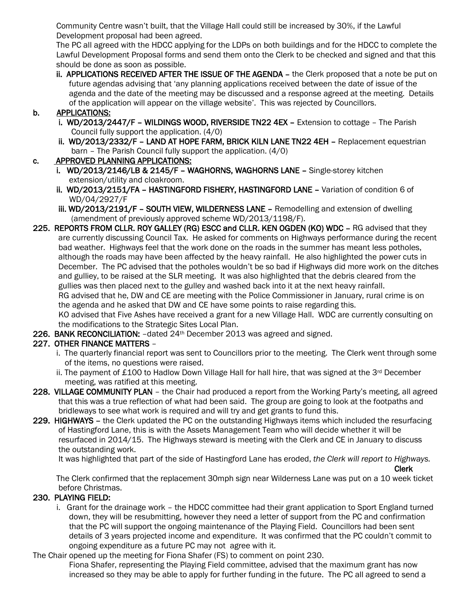Community Centre wasn't built, that the Village Hall could still be increased by 30%, if the Lawful Development proposal had been agreed.

 The PC all agreed with the HDCC applying for the LDPs on both buildings and for the HDCC to complete the Lawful Development Proposal forms and send them onto the Clerk to be checked and signed and that this should be done as soon as possible.

ii. APPLICATIONS RECEIVED AFTER THE ISSUE OF THE AGENDA - the Clerk proposed that a note be put on future agendas advising that 'any planning applications received between the date of issue of the agenda and the date of the meeting may be discussed and a response agreed at the meeting. Details of the application will appear on the village website'. This was rejected by Councillors.

### b. APPLICATIONS:

- i. WD/2013/2447/F WILDINGS WOOD, RIVERSIDE TN22 4EX Extension to cottage The Parish Council fully support the application. (4/0)
- ii. WD/2013/2332/F LAND AT HOPE FARM, BRICK KILN LANE TN22 4EH Replacement equestrian barn – The Parish Council fully support the application. (4/0)
- c. APPROVED PLANNING APPLICATIONS:
	- i. WD/2013/2146/LB & 2145/F WAGHORNS, WAGHORNS LANE Single-storey kitchen extension/utility and cloakroom.
	- ii. WD/2013/2151/FA HASTINGFORD FISHERY, HASTINGFORD LANE Variation of condition 6 of WD/04/2927/F
	- iii. WD/2013/2191/F SOUTH VIEW, WILDERNESS LANE Remodelling and extension of dwelling (amendment of previously approved scheme WD/2013/1198/F).
- 225. REPORTS FROM CLLR. ROY GALLEY (RG) ESCC and CLLR. KEN OGDEN (KO) WDC RG advised that they are currently discussing Council Tax. He asked for comments on Highways performance during the recent bad weather. Highways feel that the work done on the roads in the summer has meant less potholes, although the roads may have been affected by the heavy rainfall. He also highlighted the power cuts in December. The PC advised that the potholes wouldn't be so bad if Highways did more work on the ditches and gulliey, to be raised at the SLR meeting. It was also highlighted that the debris cleared from the gullies was then placed next to the gulley and washed back into it at the next heavy rainfall. RG advised that he, DW and CE are meeting with the Police Commissioner in January, rural crime is on the agenda and he asked that DW and CE have some points to raise regarding this. KO advised that Five Ashes have received a grant for a new Village Hall. WDC are currently consulting on the modifications to the Strategic Sites Local Plan.
- 226. BANK RECONCILIATION: dated 24<sup>th</sup> December 2013 was agreed and signed.

### 227. OTHER FINANCE MATTERS –

- i. The quarterly financial report was sent to Councillors prior to the meeting. The Clerk went through some of the items, no questions were raised.
- ii. The payment of £100 to Hadlow Down Village Hall for hall hire, that was signed at the  $3<sup>rd</sup>$  December meeting, was ratified at this meeting.
- 228. VILLAGE COMMUNITY PLAN the Chair had produced a report from the Working Party's meeting, all agreed that this was a true reflection of what had been said. The group are going to look at the footpaths and bridleways to see what work is required and will try and get grants to fund this.
- 229. HIGHWAYS the Clerk updated the PC on the outstanding Highways items which included the resurfacing of Hastingford Lane, this is with the Assets Management Team who will decide whether it will be resurfaced in 2014/15. The Highways steward is meeting with the Clerk and CE in January to discuss the outstanding work.

It was highlighted that part of the side of Hastingford Lane has eroded, *the Clerk will report to Highways.*

Clerk

 The Clerk confirmed that the replacement 30mph sign near Wilderness Lane was put on a 10 week ticket before Christmas.

# 230. PLAYING FIELD:

- i. Grant for the drainage work the HDCC committee had their grant application to Sport England turned down, they will be resubmitting, however they need a letter of support from the PC and confirmation that the PC will support the ongoing maintenance of the Playing Field. Councillors had been sent details of 3 years projected income and expenditure. It was confirmed that the PC couldn't commit to ongoing expenditure as a future PC may not agree with it.
- The Chair opened up the meeting for Fiona Shafer (FS) to comment on point 230.

 Fiona Shafer, representing the Playing Field committee, advised that the maximum grant has now increased so they may be able to apply for further funding in the future. The PC all agreed to send a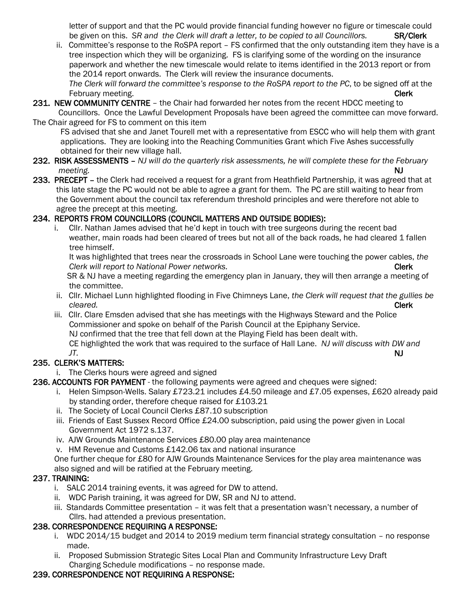letter of support and that the PC would provide financial funding however no figure or timescale could be given on this. *SR and the Clerk will draft a letter, to be copied to all Councillors.* **SR/Clerk** 

- ii. Committee's response to the RoSPA report FS confirmed that the only outstanding item they have is a tree inspection which they will be organizing. FS is clarifying some of the wording on the insurance paperwork and whether the new timescale would relate to items identified in the 2013 report or from the 2014 report onwards. The Clerk will review the insurance documents.  *The Clerk will forward the committee's response to the RoSPA report to the PC*, to be signed off at the
- February meeting. **Clerk** 231. NEW COMMUNITY CENTRE - the Chair had forwarded her notes from the recent HDCC meeting to Councillors. Once the Lawful Development Proposals have been agreed the committee can move forward.
- The Chair agreed for FS to comment on this item FS advised that she and Janet Tourell met with a representative from ESCC who will help them with grant applications. They are looking into the Reaching Communities Grant which Five Ashes successfully obtained for their new village hall.

#### 232. RISK ASSESSMENTS – *NJ will do the quarterly risk assessments, he will complete these for the February meeting.* NJ

233. PRECEPT – the Clerk had received a request for a grant from Heathfield Partnership, it was agreed that at this late stage the PC would not be able to agree a grant for them. The PC are still waiting to hear from the Government about the council tax referendum threshold principles and were therefore not able to agree the precept at this meeting.

# 234. REPORTS FROM COUNCILLORS (COUNCIL MATTERS AND OUTSIDE BODIES):

 i. Cllr. Nathan James advised that he'd kept in touch with tree surgeons during the recent bad weather, main roads had been cleared of trees but not all of the back roads, he had cleared 1 fallen tree himself.

 It was highlighted that trees near the crossroads in School Lane were touching the power cables, *the Clerk will report to National Power networks.* **Clerk and the clerk of the Clerk Clerk Clerk Clerk Clerk Clerk Clerk Clerk Clerk Clerk Clerk Clerk Clerk Clerk Clerk Clerk Clerk Clerk Clerk Clerk Clerk Clerk Clerk Clerk Cl** 

SR & NJ have a meeting regarding the emergency plan in January, they will then arrange a meeting of the committee.

- ii. Cllr. Michael Lunn highlighted flooding in Five Chimneys Lane, *the Clerk will request that the gullies be cleared.* Clerk
	- iii. Cllr. Clare Emsden advised that she has meetings with the Highways Steward and the Police Commissioner and spoke on behalf of the Parish Council at the Epiphany Service. NJ confirmed that the tree that fell down at the Playing Field has been dealt with.

 CE highlighted the work that was required to the surface of Hall Lane. *NJ will discuss with DW and JT.* NJ

# 235. CLERK'S MATTERS:

i. The Clerks hours were agreed and signed

### 236. ACCOUNTS FOR PAYMENT - the following payments were agreed and cheques were signed:

- i. Helen Simpson-Wells. Salary £723.21 includes £4.50 mileage and £7.05 expenses, £620 already paid by standing order, therefore cheque raised for £103.21
- ii. The Society of Local Council Clerks £87.10 subscription
- iii. Friends of East Sussex Record Office £24.00 subscription, paid using the power given in Local Government Act 1972 s.137.
- iv. AJW Grounds Maintenance Services £80.00 play area maintenance
- v. HM Revenue and Customs £142.06 tax and national insurance

 One further cheque for £80 for AJW Grounds Maintenance Services for the play area maintenance was also signed and will be ratified at the February meeting.

### 237. TRAINING:

- i. SALC 2014 training events, it was agreed for DW to attend.
- ii. WDC Parish training, it was agreed for DW, SR and NJ to attend.
- iii. Standards Committee presentation it was felt that a presentation wasn't necessary, a number of Cllrs. had attended a previous presentation.

### 238. CORRESPONDENCE REQUIRING A RESPONSE:

- i. WDC 2014/15 budget and 2014 to 2019 medium term financial strategy consultation no response made.
- ii. Proposed Submission Strategic Sites Local Plan and Community Infrastructure Levy Draft Charging Schedule modifications – no response made.

### 239. CORRESPONDENCE NOT REQUIRING A RESPONSE: